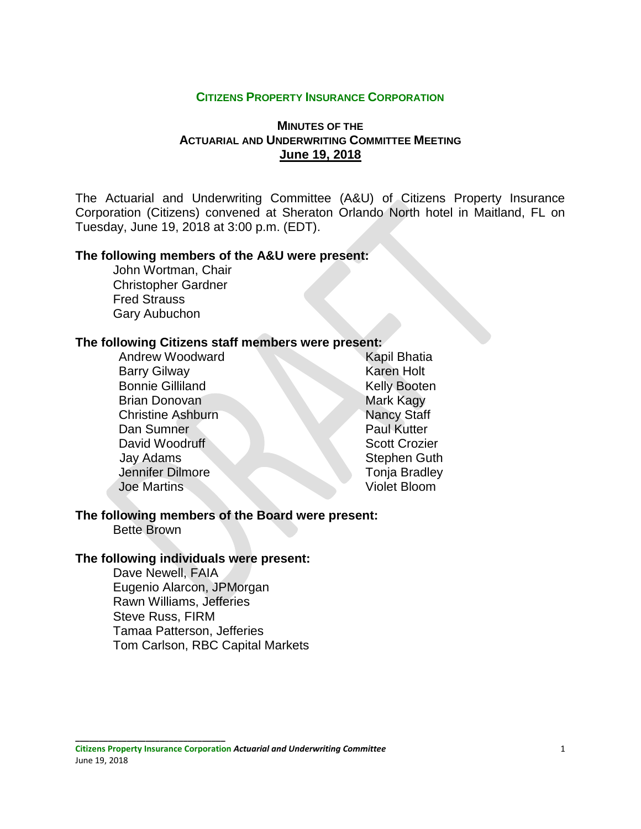### **CITIZENS PROPERTY INSURANCE CORPORATION**

## **MINUTES OF THE ACTUARIAL AND UNDERWRITING COMMITTEE MEETING June 19, 2018**

The Actuarial and Underwriting Committee (A&U) of Citizens Property Insurance Corporation (Citizens) convened at Sheraton Orlando North hotel in Maitland, FL on Tuesday, June 19, 2018 at 3:00 p.m. (EDT).

### **The following members of the A&U were present:**

John Wortman, Chair Christopher Gardner Fred Strauss Gary Aubuchon

#### **The following Citizens staff members were present:**

Andrew Woodward Kapil Bhatia Barry Gilway **Karen Holt** Bonnie Gilliland Kelly Booten Brian Donovan Mark Kagy **Christine Ashburn Nancy Staff** Dan Sumner Paul Kutter David Woodruff Scott Crozier Jay Adams Stephen Guth Jennifer Dilmore Tonia Bradley Joe Martins Violet Bloom

#### **The following members of the Board were present:** Bette Brown

## **The following individuals were present:**

**\_\_\_\_\_\_\_\_\_\_\_\_\_\_\_\_\_\_\_\_\_\_\_\_\_\_\_\_\_\_\_\_**

Dave Newell, FAIA Eugenio Alarcon, JPMorgan Rawn Williams, Jefferies Steve Russ, FIRM Tamaa Patterson, Jefferies Tom Carlson, RBC Capital Markets

**Citizens Property Insurance Corporation** *Actuarial and Underwriting Committee* 1 June 19, 2018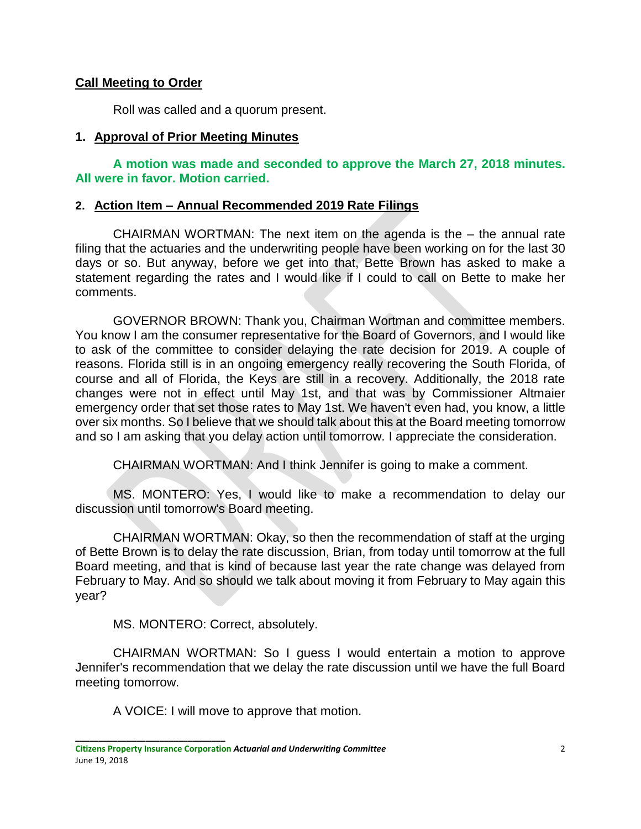# **Call Meeting to Order**

Roll was called and a quorum present.

# **1. Approval of Prior Meeting Minutes**

**A motion was made and seconded to approve the March 27, 2018 minutes. All were in favor. Motion carried.** 

## **2. Action Item – Annual Recommended 2019 Rate Filings**

CHAIRMAN WORTMAN: The next item on the agenda is the – the annual rate filing that the actuaries and the underwriting people have been working on for the last 30 days or so. But anyway, before we get into that, Bette Brown has asked to make a statement regarding the rates and I would like if I could to call on Bette to make her comments.

GOVERNOR BROWN: Thank you, Chairman Wortman and committee members. You know I am the consumer representative for the Board of Governors, and I would like to ask of the committee to consider delaying the rate decision for 2019. A couple of reasons. Florida still is in an ongoing emergency really recovering the South Florida, of course and all of Florida, the Keys are still in a recovery. Additionally, the 2018 rate changes were not in effect until May 1st, and that was by Commissioner Altmaier emergency order that set those rates to May 1st. We haven't even had, you know, a little over six months. So I believe that we should talk about this at the Board meeting tomorrow and so I am asking that you delay action until tomorrow. I appreciate the consideration.

CHAIRMAN WORTMAN: And I think Jennifer is going to make a comment.

MS. MONTERO: Yes, I would like to make a recommendation to delay our discussion until tomorrow's Board meeting.

CHAIRMAN WORTMAN: Okay, so then the recommendation of staff at the urging of Bette Brown is to delay the rate discussion, Brian, from today until tomorrow at the full Board meeting, and that is kind of because last year the rate change was delayed from February to May. And so should we talk about moving it from February to May again this year?

MS. MONTERO: Correct, absolutely.

CHAIRMAN WORTMAN: So I guess I would entertain a motion to approve Jennifer's recommendation that we delay the rate discussion until we have the full Board meeting tomorrow.

A VOICE: I will move to approve that motion.

**\_\_\_\_\_\_\_\_\_\_\_\_\_\_\_\_\_\_\_\_\_\_\_\_\_\_\_\_\_\_\_\_**

**Citizens Property Insurance Corporation** *Actuarial and Underwriting Committee* 2 June 19, 2018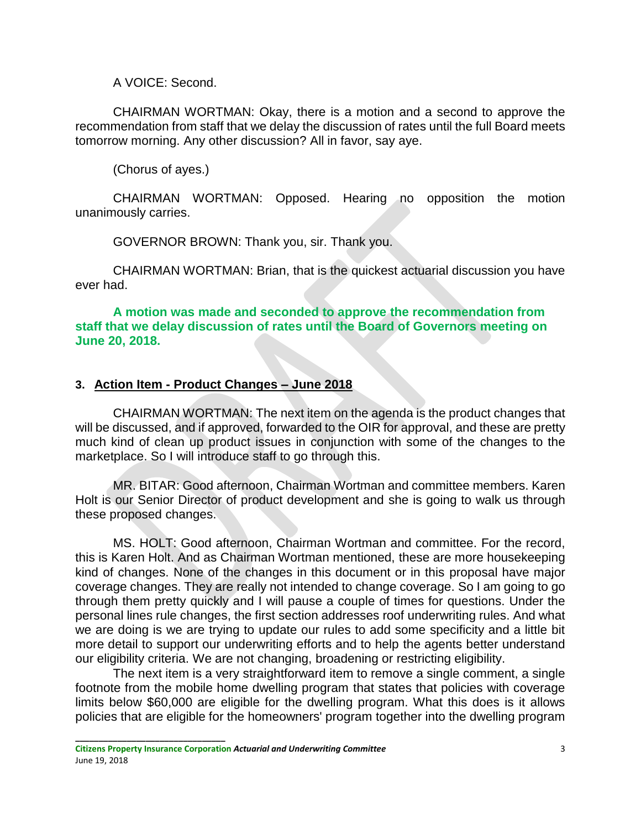A VOICE: Second.

CHAIRMAN WORTMAN: Okay, there is a motion and a second to approve the recommendation from staff that we delay the discussion of rates until the full Board meets tomorrow morning. Any other discussion? All in favor, say aye.

(Chorus of ayes.)

CHAIRMAN WORTMAN: Opposed. Hearing no opposition the motion unanimously carries.

GOVERNOR BROWN: Thank you, sir. Thank you.

CHAIRMAN WORTMAN: Brian, that is the quickest actuarial discussion you have ever had.

**A motion was made and seconded to approve the recommendation from staff that we delay discussion of rates until the Board of Governors meeting on June 20, 2018.**

# **3. Action Item - Product Changes – June 2018**

CHAIRMAN WORTMAN: The next item on the agenda is the product changes that will be discussed, and if approved, forwarded to the OIR for approval, and these are pretty much kind of clean up product issues in conjunction with some of the changes to the marketplace. So I will introduce staff to go through this.

MR. BITAR: Good afternoon, Chairman Wortman and committee members. Karen Holt is our Senior Director of product development and she is going to walk us through these proposed changes.

MS. HOLT: Good afternoon, Chairman Wortman and committee. For the record, this is Karen Holt. And as Chairman Wortman mentioned, these are more housekeeping kind of changes. None of the changes in this document or in this proposal have major coverage changes. They are really not intended to change coverage. So I am going to go through them pretty quickly and I will pause a couple of times for questions. Under the personal lines rule changes, the first section addresses roof underwriting rules. And what we are doing is we are trying to update our rules to add some specificity and a little bit more detail to support our underwriting efforts and to help the agents better understand our eligibility criteria. We are not changing, broadening or restricting eligibility.

The next item is a very straightforward item to remove a single comment, a single footnote from the mobile home dwelling program that states that policies with coverage limits below \$60,000 are eligible for the dwelling program. What this does is it allows policies that are eligible for the homeowners' program together into the dwelling program

**\_\_\_\_\_\_\_\_\_\_\_\_\_\_\_\_\_\_\_\_\_\_\_\_\_\_\_\_\_\_\_\_**

**Citizens Property Insurance Corporation** *Actuarial and Underwriting Committee* 3 June 19, 2018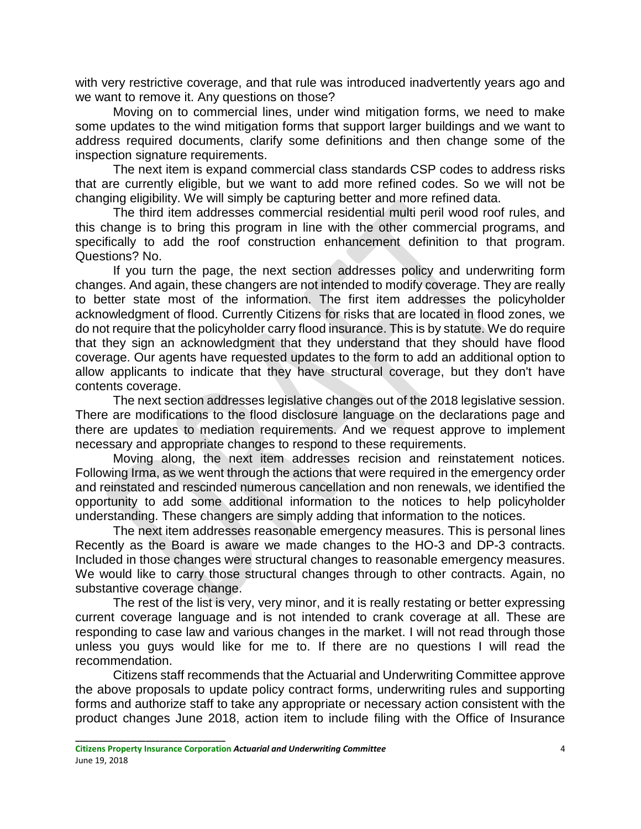with very restrictive coverage, and that rule was introduced inadvertently years ago and we want to remove it. Any questions on those?

Moving on to commercial lines, under wind mitigation forms, we need to make some updates to the wind mitigation forms that support larger buildings and we want to address required documents, clarify some definitions and then change some of the inspection signature requirements.

The next item is expand commercial class standards CSP codes to address risks that are currently eligible, but we want to add more refined codes. So we will not be changing eligibility. We will simply be capturing better and more refined data.

The third item addresses commercial residential multi peril wood roof rules, and this change is to bring this program in line with the other commercial programs, and specifically to add the roof construction enhancement definition to that program. Questions? No.

If you turn the page, the next section addresses policy and underwriting form changes. And again, these changers are not intended to modify coverage. They are really to better state most of the information. The first item addresses the policyholder acknowledgment of flood. Currently Citizens for risks that are located in flood zones, we do not require that the policyholder carry flood insurance. This is by statute. We do require that they sign an acknowledgment that they understand that they should have flood coverage. Our agents have requested updates to the form to add an additional option to allow applicants to indicate that they have structural coverage, but they don't have contents coverage.

The next section addresses legislative changes out of the 2018 legislative session. There are modifications to the flood disclosure language on the declarations page and there are updates to mediation requirements. And we request approve to implement necessary and appropriate changes to respond to these requirements.

Moving along, the next item addresses recision and reinstatement notices. Following Irma, as we went through the actions that were required in the emergency order and reinstated and rescinded numerous cancellation and non renewals, we identified the opportunity to add some additional information to the notices to help policyholder understanding. These changers are simply adding that information to the notices.

The next item addresses reasonable emergency measures. This is personal lines Recently as the Board is aware we made changes to the HO-3 and DP-3 contracts. Included in those changes were structural changes to reasonable emergency measures. We would like to carry those structural changes through to other contracts. Again, no substantive coverage change.

The rest of the list is very, very minor, and it is really restating or better expressing current coverage language and is not intended to crank coverage at all. These are responding to case law and various changes in the market. I will not read through those unless you guys would like for me to. If there are no questions I will read the recommendation.

Citizens staff recommends that the Actuarial and Underwriting Committee approve the above proposals to update policy contract forms, underwriting rules and supporting forms and authorize staff to take any appropriate or necessary action consistent with the product changes June 2018, action item to include filing with the Office of Insurance

**\_\_\_\_\_\_\_\_\_\_\_\_\_\_\_\_\_\_\_\_\_\_\_\_\_\_\_\_\_\_\_\_**

**Citizens Property Insurance Corporation** *Actuarial and Underwriting Committee* 4 June 19, 2018